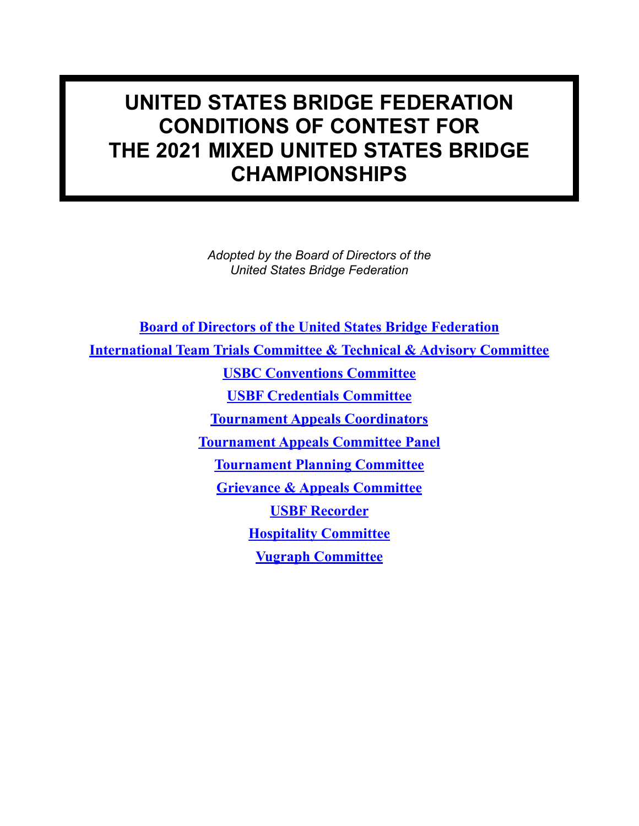# **UNITED STATES BRIDGE FEDERATION CONDITIONS OF CONTEST FOR THE 2021 MIXED UNITED STATES BRIDGE CHAMPIONSHIPS**

*Adopted by the Board of Directors of the United States Bridge Federation*

**[Board of Directors of the United States Bridge Federation](http://www.usbf.org/usbf-operations/board-of-directors) [International Team Trials Committee](http://www.usbf.org/usbf-committees/ittc) & Technical & Advisory Committee [USBC Conventions Committee](http://usbf.org/index.php?option=com_content&view=article&id=1688&catid=893&Itemid=200239) [USBF Credentials Committee](http://www.usbf.org/usbf-committees/credentials-committee) [Tournament Appeals Coordinators](http://usbf.org/usbf-committees/tournament-appeals-committee-panel) [Tournament Appeals Committee Panel](http://usbf.org/usbf-committees/tournament-appeals-committee-panel) [Tournament Planning Committee](http://www.usbf.org/usbf-committees/tournament-planning-committee) [Grievance & Appeals Committee](http://www.usbf.org/usbf-committees/grievance-a-appeals-committee) [USBF Recorder](http://www.usbf.org/usbf-committees/usbf-recorder) [Hospitality Committee](http://www.usbf.org/usbf-committees/hospitality-committee) [Vugraph Committee](http://www.usbf.org/usbf-committees/vugraph-committee)**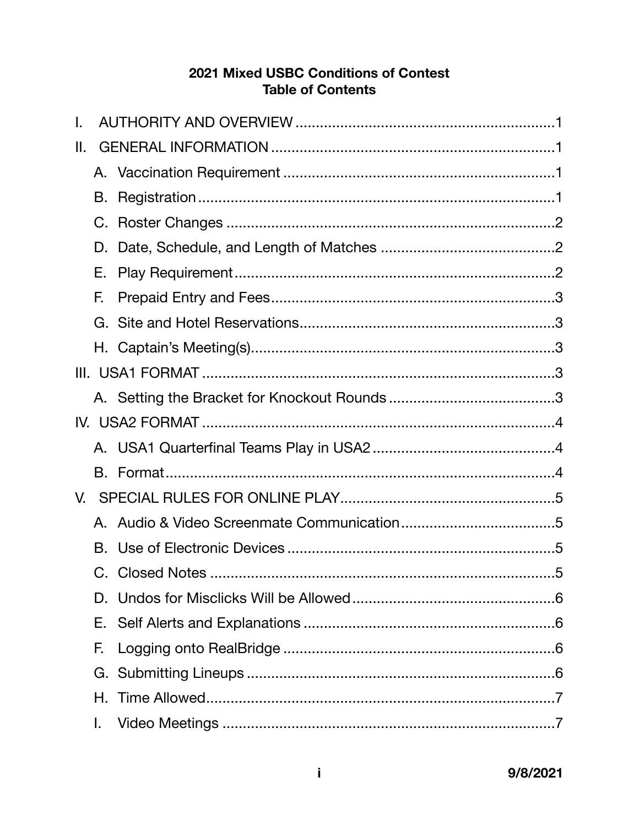#### 2021 Mixed USBC Conditions of Contest **Table of Contents**

| Ⅱ. |    |  |
|----|----|--|
|    |    |  |
|    | В. |  |
|    | C. |  |
|    | D. |  |
|    | Е. |  |
|    | F. |  |
|    |    |  |
|    |    |  |
|    |    |  |
|    |    |  |
|    |    |  |
|    |    |  |
|    |    |  |
|    |    |  |
|    |    |  |
|    |    |  |
|    |    |  |
|    | D. |  |
|    | Е. |  |
|    | F. |  |
|    |    |  |
|    | Н. |  |
|    | I. |  |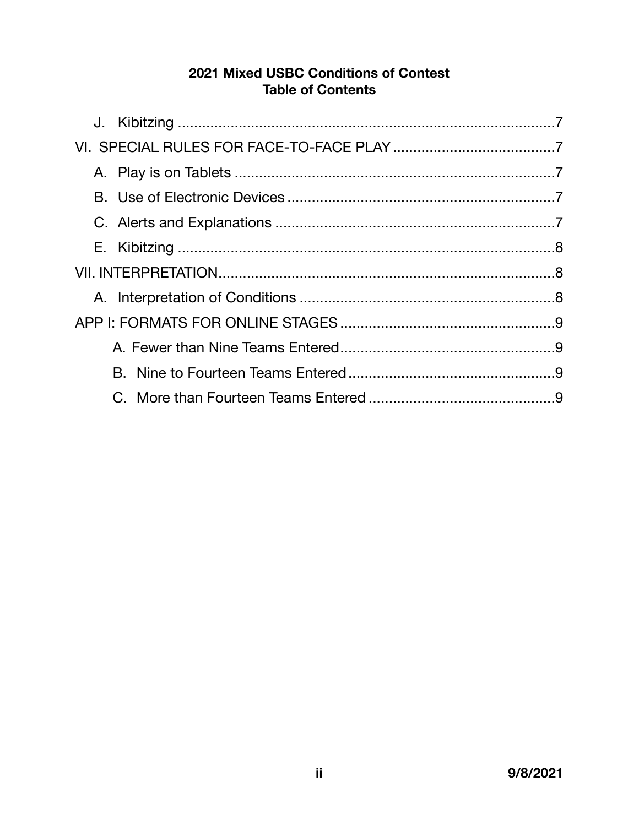#### 2021 Mixed USBC Conditions of Contest **Table of Contents**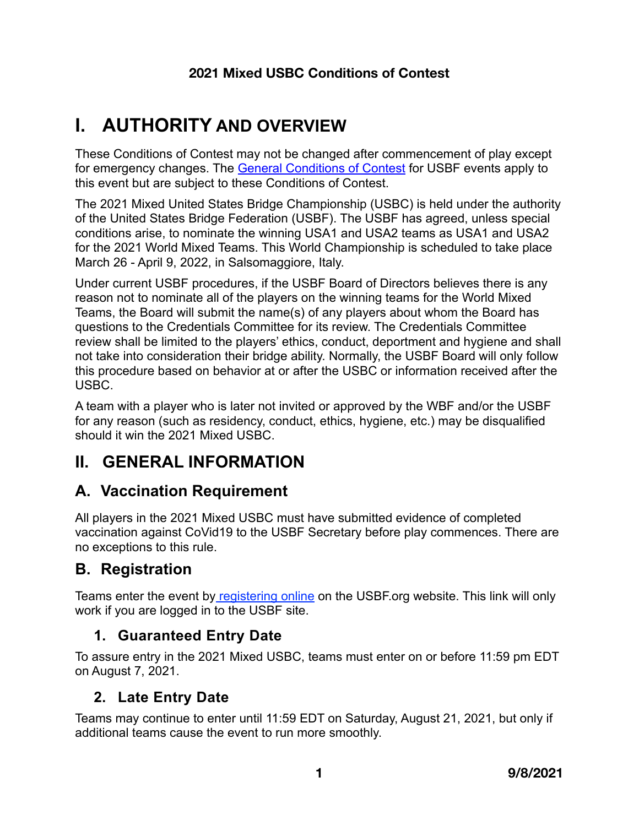# <span id="page-3-0"></span>**I. AUTHORITY AND OVERVIEW**

These Conditions of Contest may not be changed after commencement of play except for emergency changes. The [General Conditions of Contest](http://usbf.org/docs/COC/General-CoC.pdf) for USBF events apply to this event but are subject to these Conditions of Contest.

The 2021 Mixed United States Bridge Championship (USBC) is held under the authority of the United States Bridge Federation (USBF). The USBF has agreed, unless special conditions arise, to nominate the winning USA1 and USA2 teams as USA1 and USA2 for the 2021 World Mixed Teams. This World Championship is scheduled to take place March 26 - April 9, 2022, in Salsomaggiore, Italy.

Under current USBF procedures, if the USBF Board of Directors believes there is any reason not to nominate all of the players on the winning teams for the World Mixed Teams, the Board will submit the name(s) of any players about whom the Board has questions to the Credentials Committee for its review. The Credentials Committee review shall be limited to the players' ethics, conduct, deportment and hygiene and shall not take into consideration their bridge ability. Normally, the USBF Board will only follow this procedure based on behavior at or after the USBC or information received after the USBC.

A team with a player who is later not invited or approved by the WBF and/or the USBF for any reason (such as residency, conduct, ethics, hygiene, etc.) may be disqualified should it win the 2021 Mixed USBC.

# <span id="page-3-1"></span>**II. GENERAL INFORMATION**

# <span id="page-3-2"></span>**A. Vaccination Requirement**

All players in the 2021 Mixed USBC must have submitted evidence of completed vaccination against CoVid19 to the USBF Secretary before play commences. There are no exceptions to this rule.

# <span id="page-3-3"></span>**B. Registration**

Teams enter the event by [registering online](https://usbf.org/2021-mixed-usbc/enter-2021-mixed-usbc) on the USBF org website. This link will only work if you are logged in to the USBF site.

## **1. Guaranteed Entry Date**

To assure entry in the 2021 Mixed USBC, teams must enter on or before 11:59 pm EDT on August 7, 2021.

### **2. Late Entry Date**

Teams may continue to enter until 11:59 EDT on Saturday, August 21, 2021, but only if additional teams cause the event to run more smoothly.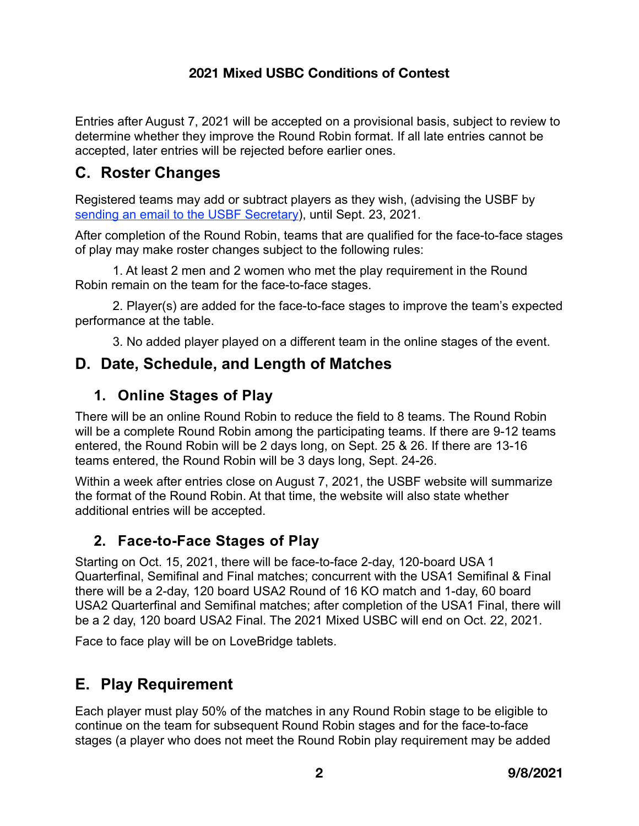Entries after August 7, 2021 will be accepted on a provisional basis, subject to review to determine whether they improve the Round Robin format. If all late entries cannot be accepted, later entries will be rejected before earlier ones.

## <span id="page-4-0"></span>**C. Roster Changes**

Registered teams may add or subtract players as they wish, (advising the USBF by [sending an email to the USBF Secretary](mailto:jan@usbf.org?subject=2021%20Open%20USBC%20Roster)), until Sept. 23, 2021.

After completion of the Round Robin, teams that are qualified for the face-to-face stages of play may make roster changes subject to the following rules:

1. At least 2 men and 2 women who met the play requirement in the Round Robin remain on the team for the face-to-face stages.

2. Player(s) are added for the face-to-face stages to improve the team's expected performance at the table.

<span id="page-4-1"></span>3. No added player played on a different team in the online stages of the event.

## **D. Date, Schedule, and Length of Matches**

### **1. Online Stages of Play**

There will be an online Round Robin to reduce the field to 8 teams. The Round Robin will be a complete Round Robin among the participating teams. If there are 9-12 teams entered, the Round Robin will be 2 days long, on Sept. 25 & 26. If there are 13-16 teams entered, the Round Robin will be 3 days long, Sept. 24-26.

Within a week after entries close on August 7, 2021, the USBF website will summarize the format of the Round Robin. At that time, the website will also state whether additional entries will be accepted.

### **2. Face-to-Face Stages of Play**

Starting on Oct. 15, 2021, there will be face-to-face 2-day, 120-board USA 1 Quarterfinal, Semifinal and Final matches; concurrent with the USA1 Semifinal & Final there will be a 2-day, 120 board USA2 Round of 16 KO match and 1-day, 60 board USA2 Quarterfinal and Semifinal matches; after completion of the USA1 Final, there will be a 2 day, 120 board USA2 Final. The 2021 Mixed USBC will end on Oct. 22, 2021.

Face to face play will be on LoveBridge tablets.

# <span id="page-4-2"></span>**E. Play Requirement**

Each player must play 50% of the matches in any Round Robin stage to be eligible to continue on the team for subsequent Round Robin stages and for the face-to-face stages (a player who does not meet the Round Robin play requirement may be added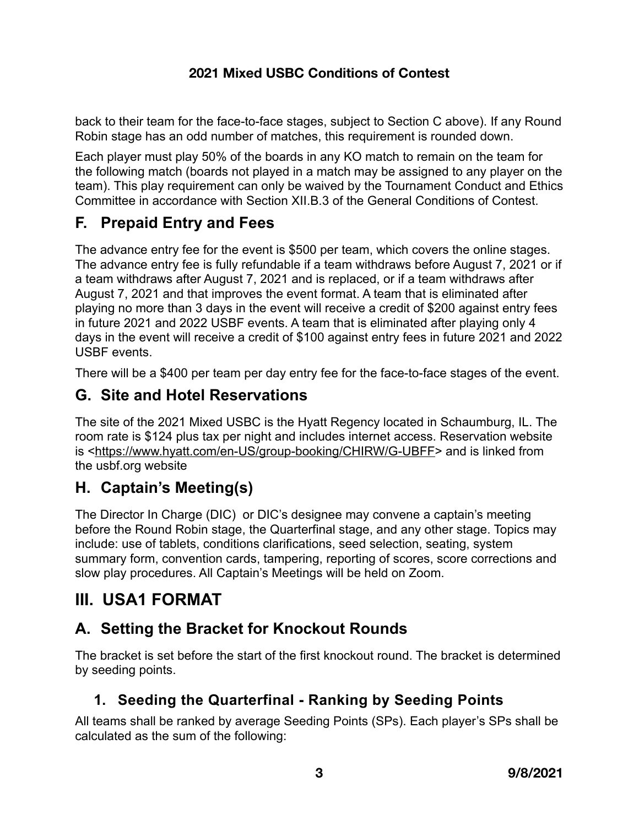back to their team for the face-to-face stages, subject to Section C above). If any Round Robin stage has an odd number of matches, this requirement is rounded down.

Each player must play 50% of the boards in any KO match to remain on the team for the following match (boards not played in a match may be assigned to any player on the team). This play requirement can only be waived by the Tournament Conduct and Ethics Committee in accordance with Section XII.B.3 of the General Conditions of Contest.

## <span id="page-5-0"></span>**F. Prepaid Entry and Fees**

The advance entry fee for the event is \$500 per team, which covers the online stages. The advance entry fee is fully refundable if a team withdraws before August 7, 2021 or if a team withdraws after August 7, 2021 and is replaced, or if a team withdraws after August 7, 2021 and that improves the event format. A team that is eliminated after playing no more than 3 days in the event will receive a credit of \$200 against entry fees in future 2021 and 2022 USBF events. A team that is eliminated after playing only 4 days in the event will receive a credit of \$100 against entry fees in future 2021 and 2022 USBF events.

There will be a \$400 per team per day entry fee for the face-to-face stages of the event.

## <span id="page-5-1"></span>**G. Site and Hotel Reservations**

The site of the 2021 Mixed USBC is the Hyatt Regency located in Schaumburg, IL. The room rate is \$124 plus tax per night and includes internet access. Reservation website is [<https://www.hyatt.com/en-US/group-booking/CHIRW/G-UBFF>](https://www.hyatt.com/en-US/group-booking/CHIRW/G-UBFF) and is linked from the usbf.org website

## <span id="page-5-2"></span>**H. Captain's Meeting(s)**

The Director In Charge (DIC) or DIC's designee may convene a captain's meeting before the Round Robin stage, the Quarterfinal stage, and any other stage. Topics may include: use of tablets, conditions clarifications, seed selection, seating, system summary form, convention cards, tampering, reporting of scores, score corrections and slow play procedures. All Captain's Meetings will be held on Zoom.

# <span id="page-5-3"></span>**III. USA1 FORMAT**

# <span id="page-5-4"></span>**A. Setting the Bracket for Knockout Rounds**

The bracket is set before the start of the first knockout round. The bracket is determined by seeding points.

## **1. Seeding the Quarterfinal - Ranking by Seeding Points**

All teams shall be ranked by average Seeding Points (SPs). Each player's SPs shall be calculated as the sum of the following: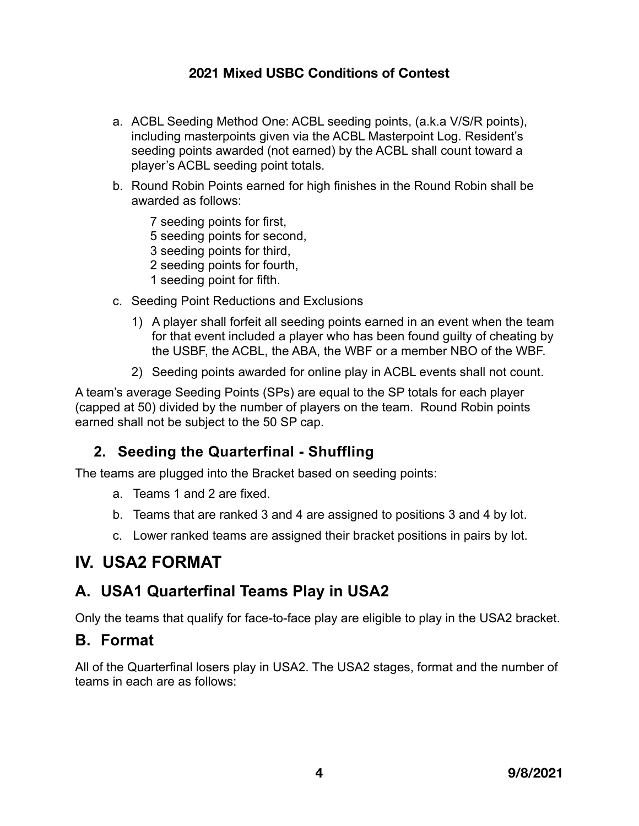- a. ACBL Seeding Method One: ACBL seeding points, (a.k.a V/S/R points), including masterpoints given via the ACBL Masterpoint Log. Resident's seeding points awarded (not earned) by the ACBL shall count toward a player's ACBL seeding point totals.
- b. Round Robin Points earned for high finishes in the Round Robin shall be awarded as follows:

7 seeding points for first, 5 seeding points for second, 3 seeding points for third, 2 seeding points for fourth, 1 seeding point for fifth.

- c. Seeding Point Reductions and Exclusions
	- 1) A player shall forfeit all seeding points earned in an event when the team for that event included a player who has been found guilty of cheating by the USBF, the ACBL, the ABA, the WBF or a member NBO of the WBF.
	- 2) Seeding points awarded for online play in ACBL events shall not count.

A team's average Seeding Points (SPs) are equal to the SP totals for each player (capped at 50) divided by the number of players on the team. Round Robin points earned shall not be subject to the 50 SP cap.

### **2. Seeding the Quarterfinal - Shuffling**

The teams are plugged into the Bracket based on seeding points:

- a. Teams 1 and 2 are fixed.
- b. Teams that are ranked 3 and 4 are assigned to positions 3 and 4 by lot.
- <span id="page-6-0"></span>c. Lower ranked teams are assigned their bracket positions in pairs by lot.

# **IV. USA2 FORMAT**

### <span id="page-6-1"></span>**A. USA1 Quarterfinal Teams Play in USA2**

Only the teams that qualify for face-to-face play are eligible to play in the USA2 bracket.

#### <span id="page-6-2"></span>**B. Format**

All of the Quarterfinal losers play in USA2. The USA2 stages, format and the number of teams in each are as follows: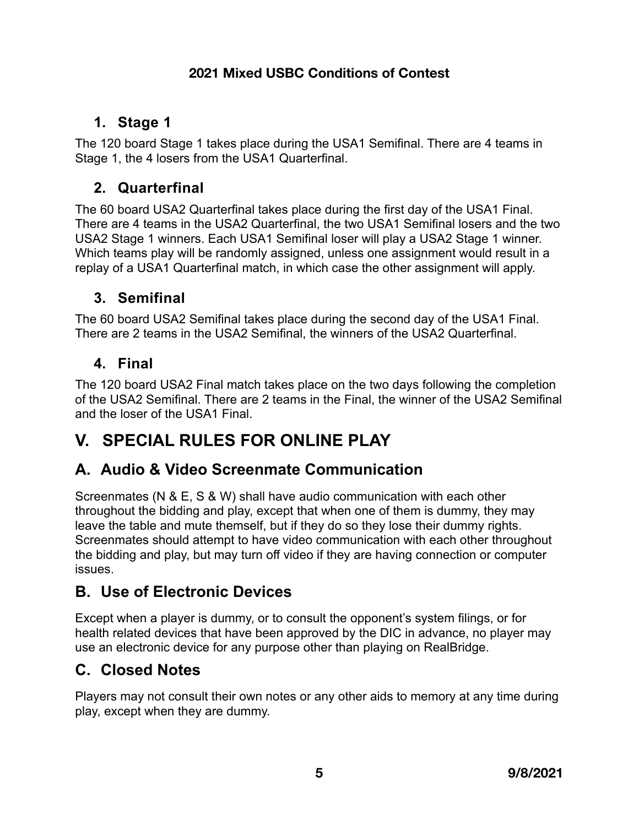## **1. Stage 1**

The 120 board Stage 1 takes place during the USA1 Semifinal. There are 4 teams in Stage 1, the 4 losers from the USA1 Quarterfinal.

## **2. Quarterfinal**

The 60 board USA2 Quarterfinal takes place during the first day of the USA1 Final. There are 4 teams in the USA2 Quarterfinal, the two USA1 Semifinal losers and the two USA2 Stage 1 winners. Each USA1 Semifinal loser will play a USA2 Stage 1 winner. Which teams play will be randomly assigned, unless one assignment would result in a replay of a USA1 Quarterfinal match, in which case the other assignment will apply.

## **3. Semifinal**

The 60 board USA2 Semifinal takes place during the second day of the USA1 Final. There are 2 teams in the USA2 Semifinal, the winners of the USA2 Quarterfinal.

### **4. Final**

The 120 board USA2 Final match takes place on the two days following the completion of the USA2 Semifinal. There are 2 teams in the Final, the winner of the USA2 Semifinal and the loser of the USA1 Final.

# <span id="page-7-0"></span>**V. SPECIAL RULES FOR ONLINE PLAY**

## <span id="page-7-1"></span>**A. Audio & Video Screenmate Communication**

Screenmates (N & E, S & W) shall have audio communication with each other throughout the bidding and play, except that when one of them is dummy, they may leave the table and mute themself, but if they do so they lose their dummy rights. Screenmates should attempt to have video communication with each other throughout the bidding and play, but may turn off video if they are having connection or computer issues.

## <span id="page-7-2"></span>**B. Use of Electronic Devices**

Except when a player is dummy, or to consult the opponent's system filings, or for health related devices that have been approved by the DIC in advance, no player may use an electronic device for any purpose other than playing on RealBridge.

# <span id="page-7-3"></span>**C. Closed Notes**

Players may not consult their own notes or any other aids to memory at any time during play, except when they are dummy.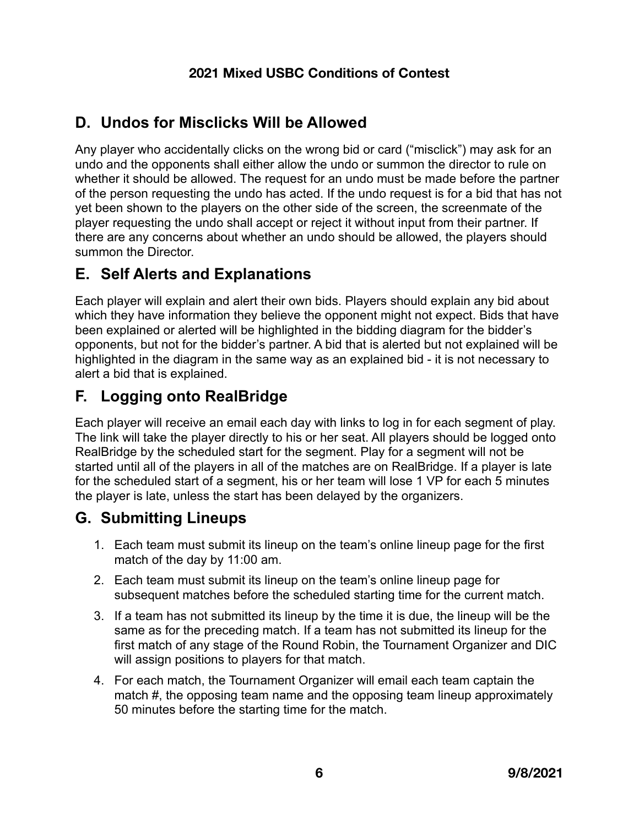## <span id="page-8-0"></span>**D. Undos for Misclicks Will be Allowed**

Any player who accidentally clicks on the wrong bid or card ("misclick") may ask for an undo and the opponents shall either allow the undo or summon the director to rule on whether it should be allowed. The request for an undo must be made before the partner of the person requesting the undo has acted. If the undo request is for a bid that has not yet been shown to the players on the other side of the screen, the screenmate of the player requesting the undo shall accept or reject it without input from their partner. If there are any concerns about whether an undo should be allowed, the players should summon the Director.

## <span id="page-8-1"></span>**E. Self Alerts and Explanations**

Each player will explain and alert their own bids. Players should explain any bid about which they have information they believe the opponent might not expect. Bids that have been explained or alerted will be highlighted in the bidding diagram for the bidder's opponents, but not for the bidder's partner. A bid that is alerted but not explained will be highlighted in the diagram in the same way as an explained bid - it is not necessary to alert a bid that is explained.

## <span id="page-8-2"></span>**F. Logging onto RealBridge**

Each player will receive an email each day with links to log in for each segment of play. The link will take the player directly to his or her seat. All players should be logged onto RealBridge by the scheduled start for the segment. Play for a segment will not be started until all of the players in all of the matches are on RealBridge. If a player is late for the scheduled start of a segment, his or her team will lose 1 VP for each 5 minutes the player is late, unless the start has been delayed by the organizers.

## <span id="page-8-3"></span>**G. Submitting Lineups**

- 1. Each team must submit its lineup on the team's online lineup page for the first match of the day by 11:00 am.
- 2. Each team must submit its lineup on the team's online lineup page for subsequent matches before the scheduled starting time for the current match.
- 3. If a team has not submitted its lineup by the time it is due, the lineup will be the same as for the preceding match. If a team has not submitted its lineup for the first match of any stage of the Round Robin, the Tournament Organizer and DIC will assign positions to players for that match.
- 4. For each match, the Tournament Organizer will email each team captain the match #, the opposing team name and the opposing team lineup approximately 50 minutes before the starting time for the match.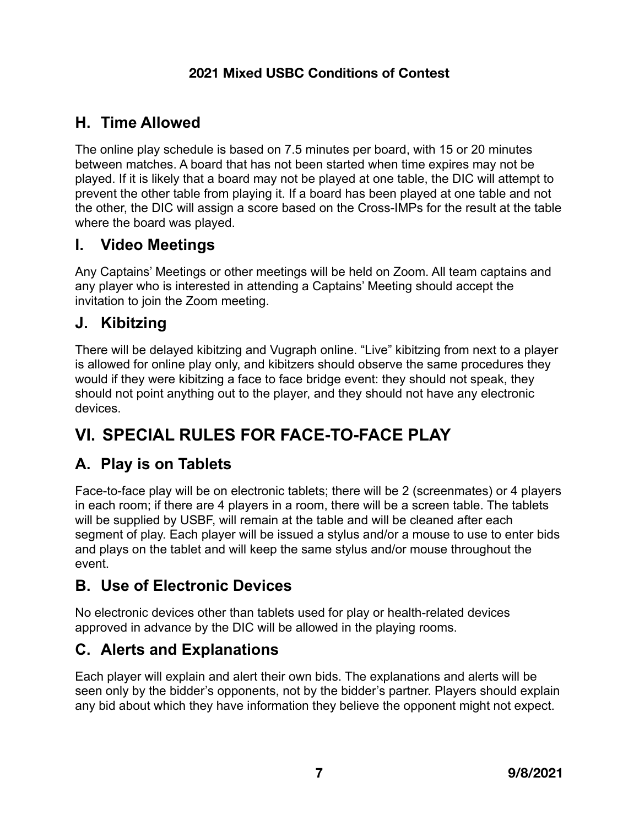## <span id="page-9-0"></span>**H. Time Allowed**

The online play schedule is based on 7.5 minutes per board, with 15 or 20 minutes between matches. A board that has not been started when time expires may not be played. If it is likely that a board may not be played at one table, the DIC will attempt to prevent the other table from playing it. If a board has been played at one table and not the other, the DIC will assign a score based on the Cross-IMPs for the result at the table where the board was played.

#### <span id="page-9-1"></span>**I. Video Meetings**

Any Captains' Meetings or other meetings will be held on Zoom. All team captains and any player who is interested in attending a Captains' Meeting should accept the invitation to join the Zoom meeting.

#### <span id="page-9-2"></span>**J. Kibitzing**

There will be delayed kibitzing and Vugraph online. "Live" kibitzing from next to a player is allowed for online play only, and kibitzers should observe the same procedures they would if they were kibitzing a face to face bridge event: they should not speak, they should not point anything out to the player, and they should not have any electronic devices.

# <span id="page-9-3"></span>**VI. SPECIAL RULES FOR FACE-TO-FACE PLAY**

## <span id="page-9-4"></span>**A. Play is on Tablets**

Face-to-face play will be on electronic tablets; there will be 2 (screenmates) or 4 players in each room; if there are 4 players in a room, there will be a screen table. The tablets will be supplied by USBF, will remain at the table and will be cleaned after each segment of play. Each player will be issued a stylus and/or a mouse to use to enter bids and plays on the tablet and will keep the same stylus and/or mouse throughout the event.

### <span id="page-9-5"></span>**B. Use of Electronic Devices**

No electronic devices other than tablets used for play or health-related devices approved in advance by the DIC will be allowed in the playing rooms.

## <span id="page-9-6"></span>**C. Alerts and Explanations**

Each player will explain and alert their own bids. The explanations and alerts will be seen only by the bidder's opponents, not by the bidder's partner. Players should explain any bid about which they have information they believe the opponent might not expect.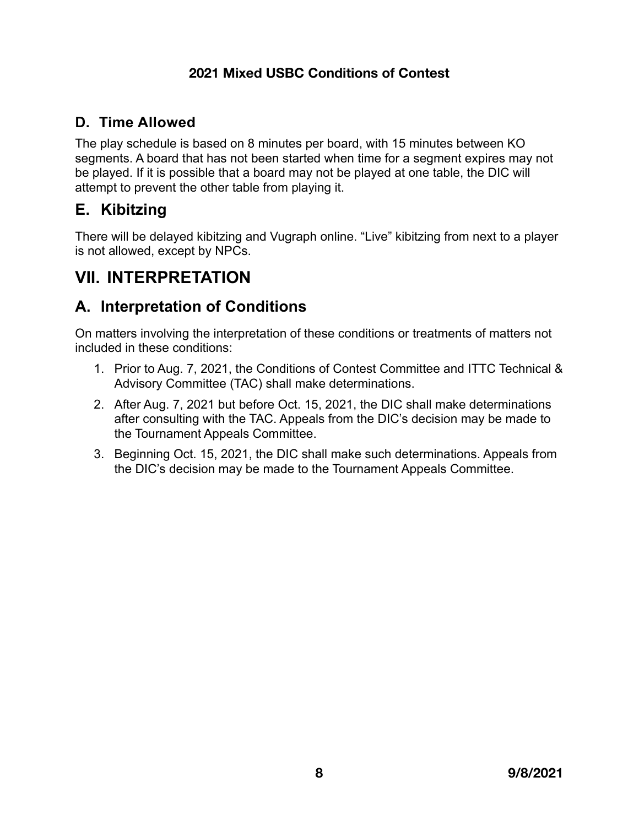#### **D. Time Allowed**

The play schedule is based on 8 minutes per board, with 15 minutes between KO segments. A board that has not been started when time for a segment expires may not be played. If it is possible that a board may not be played at one table, the DIC will attempt to prevent the other table from playing it.

## <span id="page-10-0"></span>**E. Kibitzing**

There will be delayed kibitzing and Vugraph online. "Live" kibitzing from next to a player is not allowed, except by NPCs.

# <span id="page-10-1"></span>**VII. INTERPRETATION**

## <span id="page-10-2"></span>**A. Interpretation of Conditions**

On matters involving the interpretation of these conditions or treatments of matters not included in these conditions:

- 1. Prior to Aug. 7, 2021, the Conditions of Contest Committee and ITTC Technical & Advisory Committee (TAC) shall make determinations.
- 2. After Aug. 7, 2021 but before Oct. 15, 2021, the DIC shall make determinations after consulting with the TAC. Appeals from the DIC's decision may be made to the Tournament Appeals Committee.
- 3. Beginning Oct. 15, 2021, the DIC shall make such determinations. Appeals from the DIC's decision may be made to the Tournament Appeals Committee.